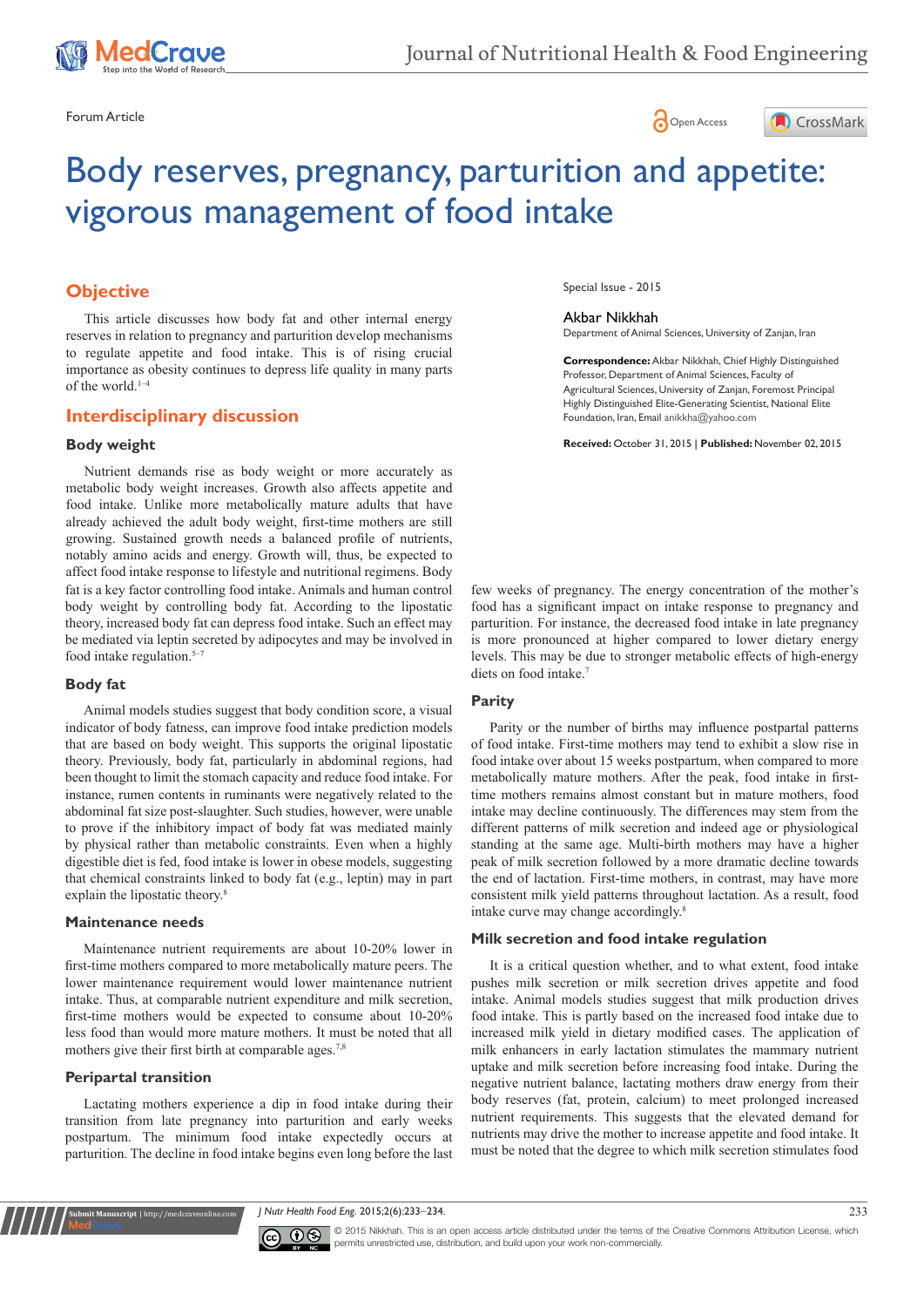





# Body reserves, pregnancy, parturition and appetite: vigorous management of food intake

# **Objective**

This article discusses how body fat and other internal energy reserves in relation to pregnancy and parturition develop mechanisms to regulate appetite and food intake. This is of rising crucial importance as obesity continues to depress life quality in many parts of the world.<sup>1-4</sup>

## **Interdisciplinary discussion**

## **Body weight**

fat is a key factor controlling food intake. Animals and human control body weight by controlling body fat. According to the lipostatic theory, increased body fat can depress food intake. Such an effect may be mediated via leptin secreted by adipocytes and may be involved in food intake regulation. $5-7$ Nutrient demands rise as body weight or more accurately as metabolic body weight increases. Growth also affects appetite and food intake. Unlike more metabolically mature adults that have already achieved the adult body weight, first-time mothers are still growing. Sustained growth needs a balanced profile of nutrients, notably amino acids and energy. Growth will, thus, be expected to affect food intake response to lifestyle and nutritional regimens. Body

#### **Body fat**

Animal models studies suggest that body condition score, a visual indicator of body fatness, can improve food intake prediction models that are based on body weight. This supports the original lipostatic theory. Previously, body fat, particularly in abdominal regions, had been thought to limit the stomach capacity and reduce food intake. For instance, rumen contents in ruminants were negatively related to the abdominal fat size post-slaughter. Such studies, however, were unable to prove if the inhibitory impact of body fat was mediated mainly by physical rather than metabolic constraints. Even when a highly digestible diet is fed, food intake is lower in obese models, suggesting that chemical constraints linked to body fat (e.g., leptin) may in part explain the lipostatic theory.<sup>8</sup>

## **Maintenance needs**

Maintenance nutrient requirements are about 10-20% lower in first-time mothers compared to more metabolically mature peers. The lower maintenance requirement would lower maintenance nutrient intake. Thus, at comparable nutrient expenditure and milk secretion, first-time mothers would be expected to consume about 10-20% less food than would more mature mothers. It must be noted that all mothers give their first birth at comparable ages.<sup>7,8</sup>

## **Peripartal transition**

**nit Manuscript** | http://medcraveonline.c

Lactating mothers experience a dip in food intake during their transition from late pregnancy into parturition and early weeks postpartum. The minimum food intake expectedly occurs at parturition. The decline in food intake begins even long before the last

Special Issue - 2015

#### Akbar Nikkhah

Department of Animal Sciences, University of Zanjan, Iran

**Correspondence:** Akbar Nikkhah, Chief Highly Distinguished Professor, Department of Animal Sciences, Faculty of Agricultural Sciences, University of Zanjan, Foremost Principal Highly Distinguished Elite-Generating Scientist, National Elite Foundation, Iran, Email anikkha@yahoo.com

**Received:** October 31, 2015 | **Published:** November 02, 2015

few weeks of pregnancy. The energy concentration of the mother's food has a significant impact on intake response to pregnancy and parturition. For instance, the decreased food intake in late pregnancy is more pronounced at higher compared to lower dietary energy levels. This may be due to stronger metabolic effects of high-energy diets on food intake.<sup>7</sup>

## **Parity**

Parity or the number of births may influence postpartal patterns of food intake. First-time mothers may tend to exhibit a slow rise in food intake over about 15 weeks postpartum, when compared to more metabolically mature mothers. After the peak, food intake in firsttime mothers remains almost constant but in mature mothers, food intake may decline continuously. The differences may stem from the different patterns of milk secretion and indeed age or physiological standing at the same age. Multi-birth mothers may have a higher peak of milk secretion followed by a more dramatic decline towards the end of lactation. First-time mothers, in contrast, may have more consistent milk yield patterns throughout lactation. As a result, food intake curve may change accordingly.8

## **Milk secretion and food intake regulation**

It is a critical question whether, and to what extent, food intake pushes milk secretion or milk secretion drives appetite and food intake. Animal models studies suggest that milk production drives food intake. This is partly based on the increased food intake due to increased milk yield in dietary modified cases. The application of milk enhancers in early lactation stimulates the mammary nutrient uptake and milk secretion before increasing food intake. During the negative nutrient balance, lactating mothers draw energy from their body reserves (fat, protein, calcium) to meet prolonged increased nutrient requirements. This suggests that the elevated demand for nutrients may drive the mother to increase appetite and food intake. It must be noted that the degree to which milk secretion stimulates food

*J Nutr Health Food Eng.* 2015;2(6):233‒234. 233



© 2015 Nikkhah. This is an open access article distributed under the terms of the [Creative Commons Attribution License](https://creativecommons.org/licenses/by-nc/4.0/), which permits unrestricted use, distribution, and build upon your work non-commercially.